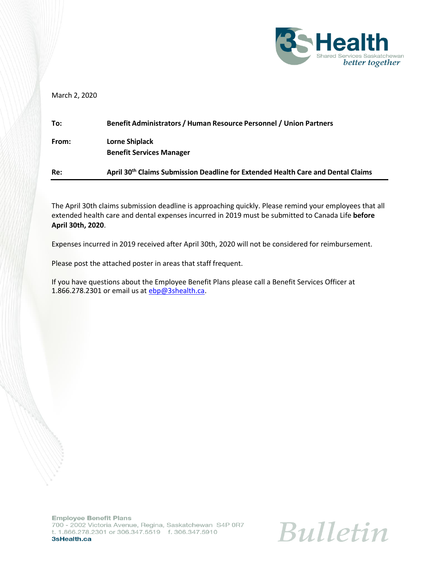

March 2, 2020

| To:   | Benefit Administrators / Human Resource Personnel / Union Partners                           |
|-------|----------------------------------------------------------------------------------------------|
| From: | Lorne Shiplack<br><b>Benefit Services Manager</b>                                            |
| Re:   | April 30 <sup>th</sup> Claims Submission Deadline for Extended Health Care and Dental Claims |

The April 30th claims submission deadline is approaching quickly. Please remind your employees that all extended health care and dental expenses incurred in 2019 must be submitted to Canada Life **before April 30th, 2020**.

Expenses incurred in 2019 received after April 30th, 2020 will not be considered for reimbursement.

Please post the attached poster in areas that staff frequent.

If you have questions about the Employee Benefit Plans please call a Benefit Services Officer at 1.866.278.2301 or email us at [ebp@3shealth.ca.](mailto:ebp@3shealth.ca)